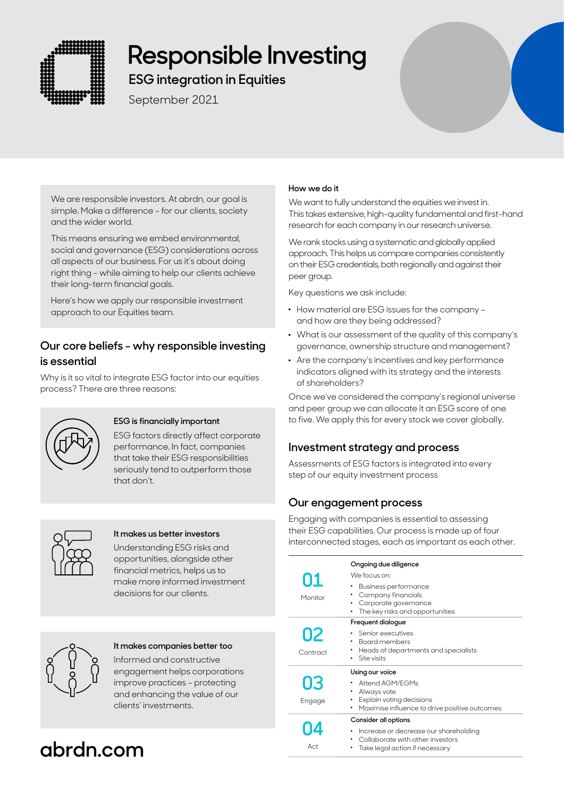

# **Responsible Investing**

**ESG integration in Equities**

September 2021



We are responsible investors. At abrdn, our goal is simple. Make a difference – for our clients, society and the wider world.

This means ensuring we embed environmental, social and governance (ESG) considerations across all aspects of our business. For us it's about doing right thing – while aiming to help our clients achieve their long-term financial goals.

Here's how we apply our responsible investment approach to our Equities team.

## **Our core beliefs - why responsible investing is essential**

Why is it so vital to integrate ESG factor into our equities process? There are three reasons:



## **ESG is financially important**

ESG factors directly affect corporate performance. In fact, companies that take their ESG responsibilities seriously tend to outperform those that don't.



## **It makes us better investors**

Understanding ESG risks and opportunities, alongside other financial metrics, helps us to make more informed investment decisions for our clients.



## **It makes companies better too**

Informed and constructive engagement helps corporations improve practices – protecting and enhancing the value of our clients' investments.

## **abrdn.com**

## **How we do it**

We want to fully understand the equities we invest in. This takes extensive, high-quality fundamental and first-hand research for each company in our research universe.

We rank stocks using a systematic and globally applied approach. This helps us compare companies consistently on their ESG credentials, both regionally and against their peer group.

Key questions we ask include:

- . How material are ESG issues for the company and how are they being addressed?
- . What is our assessment of the quality of this company's governance, ownership structure and management?
- . Are the company's incentives and key performance indicators aligned with its strategy and the interests of shareholders?

Once we've considered the company's regional universe and peer group we can allocate it an ESG score of one to five. We apply this for every stock we cover globally.

## **Investment strategy and process**

Assessments of ESG factors is integrated into every step of our equity investment process

## **Our engagement process**

Engaging with companies is essential to assessing their ESG capabilities. Our process is made up of four interconnected stages, each as important as each other.

| 01<br>Monitor  | Ongoing due diligence<br>We focus on:<br>Business performance<br>Company financials<br>Corporate governance<br>The key risks and opportunities |
|----------------|------------------------------------------------------------------------------------------------------------------------------------------------|
| 02<br>Contract | Frequent dialogue<br>Senior executives<br>Board members<br>Heads of departments and specialists<br>٠<br>Site visits                            |
| 03<br>Engage   | Using our voice<br>Attend AGM/FGMs<br>Always vote<br>Explain voting decisions<br>Maximise influence to drive positive outcomes                 |
| Act            | Consider all options<br>Increase or decrease our shareholding<br>Collaborate with other investors<br>Take legal action if necessary            |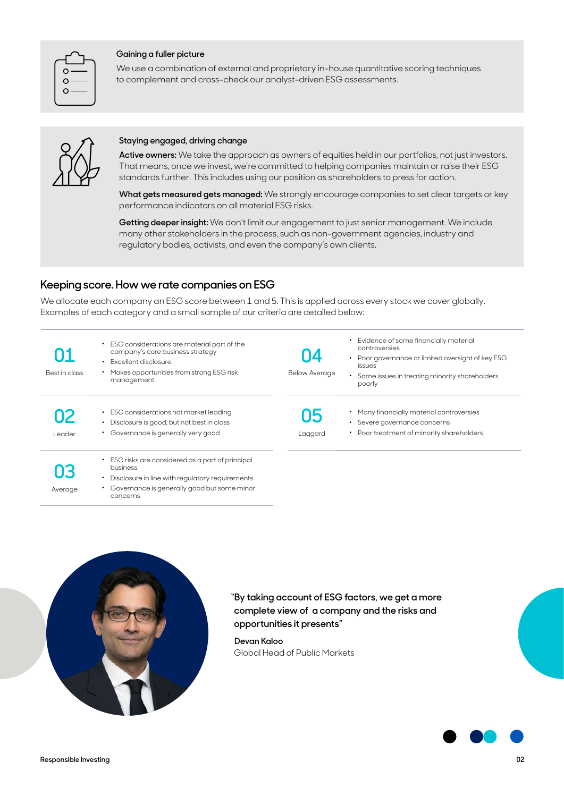| O |  |
|---|--|
|   |  |
|   |  |

#### **Gaining a fuller picture**

We use a combination of external and proprietary in-house quantitative scoring techniques to complement and cross-check our analyst-driven ESG assessments.



#### **Staying engaged, driving change**

**Active owners:** We take the approach as owners of equities held in our portfolios, not just investors. That means, once we invest, we're committed to helping companies maintain or raise their ESG standards further. This includes using our position as shareholders to press for action.

**What gets measured gets managed:** We strongly encourage companies to set clear targets or key performance indicators on all material ESG risks.

**Getting deeper insight:** We don't limit our engagement to just senior management. We include many other stakeholders in the process, such as non-government agencies, industry and regulatory bodies, activists, and even the company's own clients.

## **Keeping score. How we rate companies on ESG**

We allocate each company an ESG score between 1 and 5. This is applied across every stock we cover globally. Examples of each category and a small sample of our criteria are detailed below:

| 01<br>Best in class | ESG considerations are material part of the<br>$\bullet$<br>company's core business strategy<br>Excellent disclosure<br>٠<br>Makes opportunities from strong ESG risk<br>management | 04<br><b>Below Average</b> | Evidence of some financially material<br>controversies<br>Poor governance or limited oversight of key ESG<br>$\bullet$<br><i>issues</i><br>Some issues in treating minority shareholders<br>$\bullet$<br>poorly |
|---------------------|-------------------------------------------------------------------------------------------------------------------------------------------------------------------------------------|----------------------------|-----------------------------------------------------------------------------------------------------------------------------------------------------------------------------------------------------------------|
| 02<br>Leader        | ESG considerations not market leading<br>Disclosure is good, but not best in class<br>$\bullet$<br>• Governance is generally very good                                              | 05<br>Laggard              | • Many financially material controversies<br>Severe governance concerns<br>$\bullet$<br>• Poor treatment of minority shareholders                                                                               |
| 03<br>Average       | • ESG risks are considered as a part of principal<br>business<br>Disclosure in line with regulatory requirements<br>٠<br>• Governance is generally good but some minor              |                            |                                                                                                                                                                                                                 |



concerns

## **"By taking account of ESG factors, we get a more complete view of a company and the risks and opportunities it presents"**

**Devan Kaloo**  Global Head of Public Markets

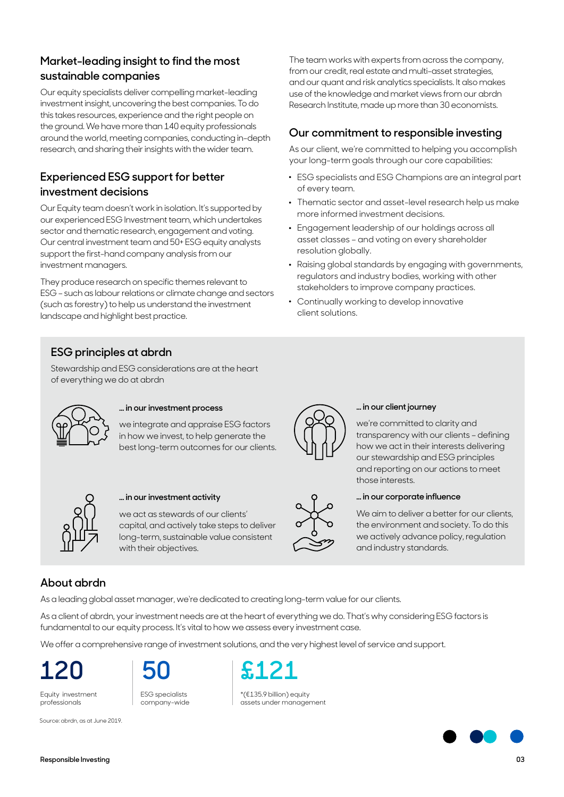## **Market-leading insight to find the most sustainable companies**

Our equity specialists deliver compelling market-leading investment insight, uncovering the best companies. To do this takes resources, experience and the right people on the ground. We have more than 140 equity professionals around the world, meeting companies, conducting in-depth research, and sharing their insights with the wider team.

## **Experienced ESG support for better investment decisions**

Our Equity team doesn't work in isolation. It's supported by our experienced ESG Investment team, which undertakes sector and thematic research, engagement and voting. Our central investment team and 50+ ESG equity analysts support the first-hand company analysis from our investment managers.

They produce research on specific themes relevant to ESG – such as labour relations or climate change and sectors (such as forestry) to help us understand the investment landscape and highlight best practice.

The team works with experts from across the company, from our credit, real estate and multi-asset strategies, and our quant and risk analytics specialists. It also makes use of the knowledge and market views from our abrdn Research Institute, made up more than 30 economists.

## **Our commitment to responsible investing**

As our client, we're committed to helping you accomplish your long-term goals through our core capabilities:

- . ESG specialists and ESG Champions are an integral part of every team.
- . Thematic sector and asset-level research help us make more informed investment decisions.
- . Engagement leadership of our holdings across all asset classes – and voting on every shareholder resolution globally.
- . Raising global standards by engaging with governments, regulators and industry bodies, working with other stakeholders to improve company practices.
- . Continually working to develop innovative client solutions.

## **ESG principles at abrdn**

Stewardship and ESG considerations are at the heart of everything we do at abrdn



## **… in our investment process**

we integrate and appraise ESG factors in how we invest, to help generate the best long-term outcomes for our clients.



## **… in our investment activity**

we act as stewards of our clients' capital, and actively take steps to deliver long-term, sustainable value consistent with their objectives.



## **… in our client journey**

we're committed to clarity and transparency with our clients – defining how we act in their interests delivering our stewardship and ESG principles and reporting on our actions to meet those interests.



#### **… in our corporate influence**

We aim to deliver a better for our clients, the environment and society. To do this we actively advance policy, regulation and industry standards.

## **About abrdn**

As a leading global asset manager, we're dedicated to creating long-term value for our clients.

As a client of abrdn, your investment needs are at the heart of everything we do. That's why considering ESG factors is fundamental to our equity process. It's vital to how we assess every investment case.

We offer a comprehensive range of investment solutions, and the very highest level of service and support.

Equity investment professionals



company-wide



\*(€135.9 billion) equity assets under management



Source: abrdn, as at June 2019.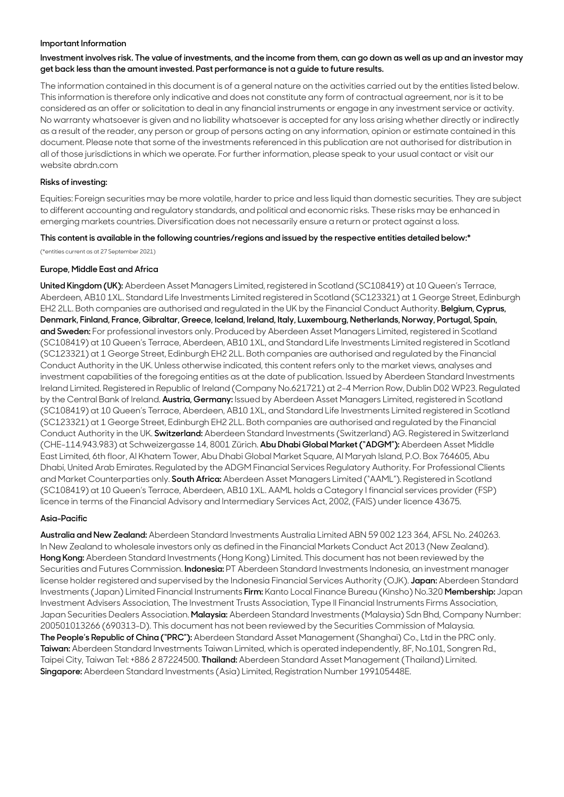#### **Important Information**

### **Investment involves risk. The value of investments, and the income from them, can go down as well as up and an investor may get back less than the amount invested. Past performance is not a guide to future results.**

The information contained in this document is of a general nature on the activities carried out by the entities listed below. This information is therefore only indicative and does not constitute any form of contractual agreement, nor is it to be considered as an offer or solicitation to deal in any financial instruments or engage in any investment service or activity. No warranty whatsoever is given and no liability whatsoever is accepted for any loss arising whether directly or indirectly as a result of the reader, any person or group of persons acting on any information, opinion or estimate contained in this document. Please note that some of the investments referenced in this publication are not authorised for distribution in all of those jurisdictions in which we operate. For further information, please speak to your usual contact or visit our website abrdn.com

#### **Risks of investing:**

Equities: Foreign securities may be more volatile, harder to price and less liquid than domestic securities. They are subject to different accounting and regulatory standards, and political and economic risks. These risks may be enhanced in emerging markets countries. Diversification does not necessarily ensure a return or protect against a loss.

#### **This content is available in the following countries/regions and issued by the respective entities detailed below:\***

(\*entities current as at 27 September 2021)

#### **Europe, Middle East and Africa**

**United Kingdom (UK):** Aberdeen Asset Managers Limited, registered in Scotland (SC108419) at 10 Queen's Terrace, Aberdeen, AB10 1XL. Standard Life Investments Limited registered in Scotland (SC123321) at 1 George Street, Edinburgh EH2 2LL. Both companies are authorised and regulated in the UK by the Financial Conduct Authority. **Belgium, Cyprus, Denmark, Finland, France, Gibraltar, Greece, Iceland, Ireland, Italy, Luxembourg, Netherlands, Norway, Portugal, Spain, and Sweden:** For professional investors only. Produced by Aberdeen Asset Managers Limited, registered in Scotland (SC108419) at 10 Queen's Terrace, Aberdeen, AB10 1XL, and Standard Life Investments Limited registered in Scotland (SC123321) at 1 George Street, Edinburgh EH2 2LL. Both companies are authorised and regulated by the Financial Conduct Authority in the UK. Unless otherwise indicated, this content refers only to the market views, analyses and investment capabilities of the foregoing entities as at the date of publication. Issued by Aberdeen Standard Investments Ireland Limited. Registered in Republic of Ireland (Company No.621721) at 2-4 Merrion Row, Dublin D02 WP23. Regulated by the Central Bank of Ireland. **Austria, Germany:** Issued by Aberdeen Asset Managers Limited, registered in Scotland (SC108419) at 10 Queen's Terrace, Aberdeen, AB10 1XL, and Standard Life Investments Limited registered in Scotland (SC123321) at 1 George Street, Edinburgh EH2 2LL. Both companies are authorised and regulated by the Financial Conduct Authority in the UK. **Switzerland:** Aberdeen Standard Investments (Switzerland) AG. Registered in Switzerland (CHE-114.943.983) at Schweizergasse 14, 8001 Zürich. **Abu Dhabi Global Market ("ADGM"):** Aberdeen Asset Middle East Limited, 6th floor, Al Khatem Tower, Abu Dhabi Global Market Square, Al Maryah Island, P.O. Box 764605, Abu Dhabi, United Arab Emirates. Regulated by the ADGM Financial Services Regulatory Authority. For Professional Clients and Market Counterparties only. **South Africa:** Aberdeen Asset Managers Limited ("AAML"). Registered in Scotland (SC108419) at 10 Queen's Terrace, Aberdeen, AB10 1XL. AAML holds a Category I financial services provider (FSP) licence in terms of the Financial Advisory and Intermediary Services Act, 2002, (FAIS) under licence 43675.

#### **Asia-Pacific**

**Australia and New Zealand:** Aberdeen Standard Investments Australia Limited ABN 59 002 123 364, AFSL No. 240263. In New Zealand to wholesale investors only as defined in the Financial Markets Conduct Act 2013 (New Zealand). **Hong Kong:** Aberdeen Standard Investments (Hong Kong) Limited. This document has not been reviewed by the Securities and Futures Commission. **Indonesia:** PT Aberdeen Standard Investments Indonesia, an investment manager license holder registered and supervised by the Indonesia Financial Services Authority (OJK). **Japan:** Aberdeen Standard Investments (Japan) Limited Financial Instruments **Firm:** Kanto Local Finance Bureau (Kinsho) No.320 **Membership:** Japan Investment Advisers Association, The Investment Trusts Association, Type II Financial Instruments Firms Association, Japan Securities Dealers Association. **Malaysia:** Aberdeen Standard Investments (Malaysia) Sdn Bhd, Company Number: 200501013266 (690313-D). This document has not been reviewed by the Securities Commission of Malaysia. **The People's Republic of China ("PRC"):** Aberdeen Standard Asset Management (Shanghai) Co., Ltd in the PRC only. **Taiwan:** Aberdeen Standard Investments Taiwan Limited, which is operated independently, 8F, No.101, Songren Rd., Taipei City, Taiwan Tel: +886 2 87224500. **Thailand:** Aberdeen Standard Asset Management (Thailand) Limited. **Singapore:** Aberdeen Standard Investments (Asia) Limited, Registration Number 199105448E.